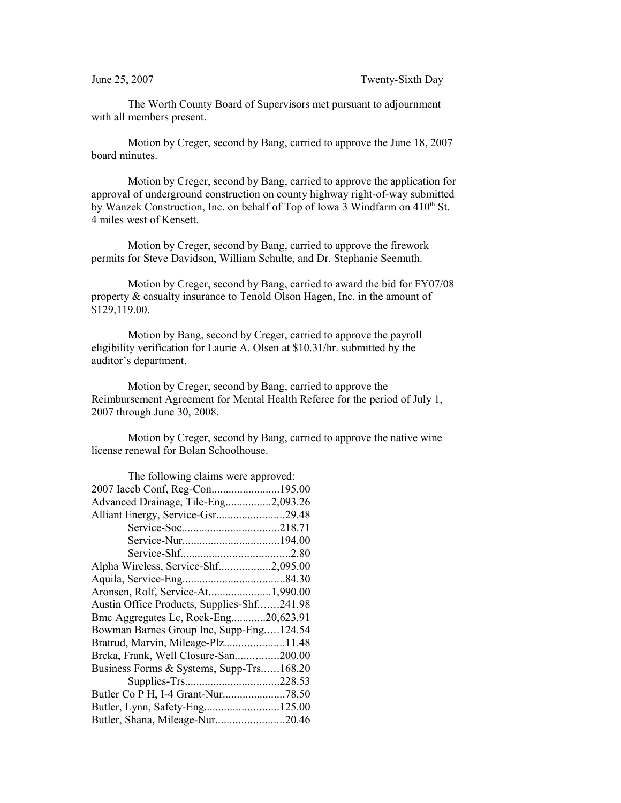The Worth County Board of Supervisors met pursuant to adjournment with all members present.

Motion by Creger, second by Bang, carried to approve the June 18, 2007 board minutes.

Motion by Creger, second by Bang, carried to approve the application for approval of underground construction on county highway right-of-way submitted by Wanzek Construction, Inc. on behalf of Top of Iowa 3 Windfarm on 410<sup>th</sup> St. 4 miles west of Kensett.

Motion by Creger, second by Bang, carried to approve the firework permits for Steve Davidson, William Schulte, and Dr. Stephanie Seemuth.

Motion by Creger, second by Bang, carried to award the bid for FY07/08 property & casualty insurance to Tenold Olson Hagen, Inc. in the amount of \$129,119.00.

Motion by Bang, second by Creger, carried to approve the payroll eligibility verification for Laurie A. Olsen at \$10.31/hr. submitted by the auditor's department.

Motion by Creger, second by Bang, carried to approve the Reimbursement Agreement for Mental Health Referee for the period of July 1, 2007 through June 30, 2008.

Motion by Creger, second by Bang, carried to approve the native wine license renewal for Bolan Schoolhouse.

| The following claims were approved:        |  |
|--------------------------------------------|--|
| 2007 Iaccb Conf, Reg-Con195.00             |  |
| Advanced Drainage, Tile-Eng2,093.26        |  |
| Alliant Energy, Service-Gsr29.48           |  |
|                                            |  |
|                                            |  |
|                                            |  |
| Alpha Wireless, Service-Shf2,095.00        |  |
|                                            |  |
| Aronsen, Rolf, Service-At1,990.00          |  |
| Austin Office Products, Supplies-Shf241.98 |  |
| Bmc Aggregates Lc, Rock-Eng20,623.91       |  |
| Bowman Barnes Group Inc, Supp-Eng124.54    |  |
| Bratrud, Marvin, Mileage-Plz11.48          |  |
| Brcka, Frank, Well Closure-San200.00       |  |
| Business Forms & Systems, Supp-Trs168.20   |  |
|                                            |  |
|                                            |  |
| Butler, Lynn, Safety-Eng125.00             |  |
| Butler, Shana, Mileage-Nur20.46            |  |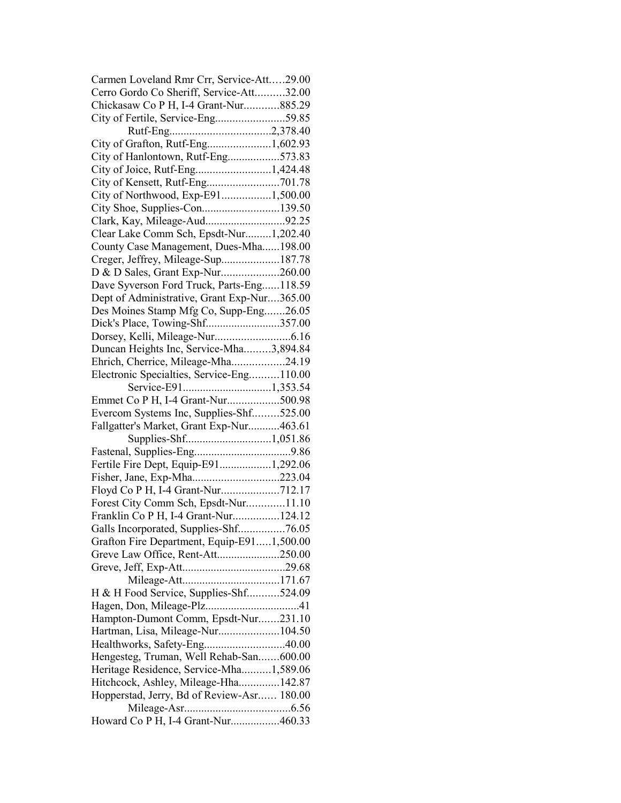| Carmen Loveland Rmr Crr, Service-Att29.00   |  |
|---------------------------------------------|--|
| Cerro Gordo Co Sheriff, Service-Att32.00    |  |
| Chickasaw Co P H, I-4 Grant-Nur885.29       |  |
| City of Fertile, Service-Eng59.85           |  |
|                                             |  |
| City of Grafton, Rutf-Eng1,602.93           |  |
| City of Hanlontown, Rutf-Eng573.83          |  |
|                                             |  |
| City of Kensett, Rutf-Eng701.78             |  |
| City of Northwood, Exp-E911,500.00          |  |
| City Shoe, Supplies-Con139.50               |  |
| Clark, Kay, Mileage-Aud92.25                |  |
| Clear Lake Comm Sch, Epsdt-Nur1,202.40      |  |
| County Case Management, Dues-Mha198.00      |  |
| Creger, Jeffrey, Mileage-Sup187.78          |  |
| D & D Sales, Grant Exp-Nur260.00            |  |
| Dave Syverson Ford Truck, Parts-Eng118.59   |  |
| Dept of Administrative, Grant Exp-Nur365.00 |  |
|                                             |  |
| Des Moines Stamp Mfg Co, Supp-Eng26.05      |  |
| Dick's Place, Towing-Shf357.00              |  |
|                                             |  |
| Duncan Heights Inc, Service-Mha3,894.84     |  |
| Ehrich, Cherrice, Mileage-Mha24.19          |  |
| Electronic Specialties, Service-Eng110.00   |  |
|                                             |  |
| Emmet Co P H, I-4 Grant-Nur500.98           |  |
| Evercom Systems Inc, Supplies-Shf525.00     |  |
| Fallgatter's Market, Grant Exp-Nur463.61    |  |
| Supplies-Shf1,051.86                        |  |
|                                             |  |
| Fertile Fire Dept, Equip-E911,292.06        |  |
| Fisher, Jane, Exp-Mha223.04                 |  |
| Floyd Co P H, I-4 Grant-Nur712.17           |  |
| Forest City Comm Sch, Epsdt-Nur11.10        |  |
| Franklin Co P H, I-4 Grant-Nur124.12        |  |
| Galls Incorporated, Supplies-Shf76.05       |  |
| Grafton Fire Department, Equip-E911,500.00  |  |
| Greve Law Office, Rent-Att250.00            |  |
|                                             |  |
|                                             |  |
| H & H Food Service, Supplies-Shf524.09      |  |
|                                             |  |
| Hampton-Dumont Comm, Epsdt-Nur231.10        |  |
| Hartman, Lisa, Mileage-Nur104.50            |  |
| Healthworks, Safety-Eng40.00                |  |
| Hengesteg, Truman, Well Rehab-San600.00     |  |
| Heritage Residence, Service-Mha1,589.06     |  |
| Hitchcock, Ashley, Mileage-Hha142.87        |  |
| Hopperstad, Jerry, Bd of Review-Asr 180.00  |  |
|                                             |  |
| Howard Co P H, I-4 Grant-Nur460.33          |  |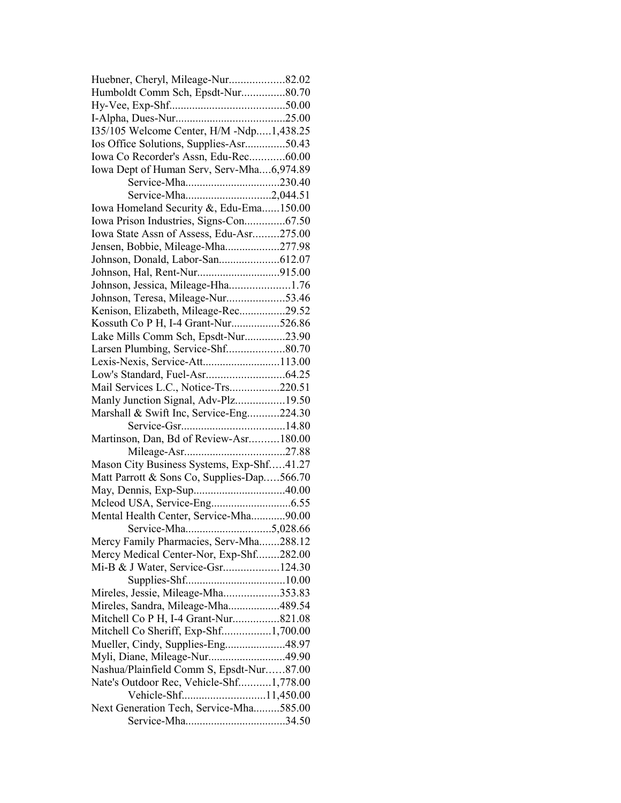| Huebner, Cheryl, Mileage-Nur82.02          |  |
|--------------------------------------------|--|
| Humboldt Comm Sch, Epsdt-Nur80.70          |  |
|                                            |  |
|                                            |  |
| 135/105 Welcome Center, H/M -Ndp1,438.25   |  |
| Ios Office Solutions, Supplies-Asr50.43    |  |
| Iowa Co Recorder's Assn, Edu-Rec60.00      |  |
| Iowa Dept of Human Serv, Serv-Mha6,974.89  |  |
| Service-Mha230.40                          |  |
| Service-Mha2,044.51                        |  |
| Iowa Homeland Security &, Edu-Ema150.00    |  |
| Iowa Prison Industries, Signs-Con67.50     |  |
| Iowa State Assn of Assess, Edu-Asr275.00   |  |
| Jensen, Bobbie, Mileage-Mha277.98          |  |
|                                            |  |
|                                            |  |
| Johnson, Jessica, Mileage-Hha1.76          |  |
| Johnson, Teresa, Mileage-Nur53.46          |  |
| Kenison, Elizabeth, Mileage-Rec29.52       |  |
| Kossuth Co P H, I-4 Grant-Nur526.86        |  |
| Lake Mills Comm Sch, Epsdt-Nur23.90        |  |
|                                            |  |
| Lexis-Nexis, Service-Att113.00             |  |
|                                            |  |
| Mail Services L.C., Notice-Trs220.51       |  |
| Manly Junction Signal, Adv-Plz19.50        |  |
| Marshall & Swift Inc, Service-Eng224.30    |  |
|                                            |  |
| Martinson, Dan, Bd of Review-Asr180.00     |  |
|                                            |  |
| Mason City Business Systems, Exp-Shf41.27  |  |
| Matt Parrott & Sons Co, Supplies-Dap566.70 |  |
|                                            |  |
|                                            |  |
| Mental Health Center, Service-Mha90.00     |  |
|                                            |  |
| Mercy Family Pharmacies, Serv-Mha288.12    |  |
| Mercy Medical Center-Nor, Exp-Shf282.00    |  |
| Mi-B & J Water, Service-Gsr124.30          |  |
|                                            |  |
| Mireles, Jessie, Mileage-Mha353.83         |  |
| Mireles, Sandra, Mileage-Mha489.54         |  |
| Mitchell Co P H, I-4 Grant-Nur821.08       |  |
| Mitchell Co Sheriff, Exp-Shf1,700.00       |  |
| Mueller, Cindy, Supplies-Eng48.97          |  |
| Myli, Diane, Mileage-Nur49.90              |  |
| Nashua/Plainfield Comm S, Epsdt-Nur87.00   |  |
| Nate's Outdoor Rec, Vehicle-Shf1,778.00    |  |
|                                            |  |
| Next Generation Tech, Service-Mha585.00    |  |
|                                            |  |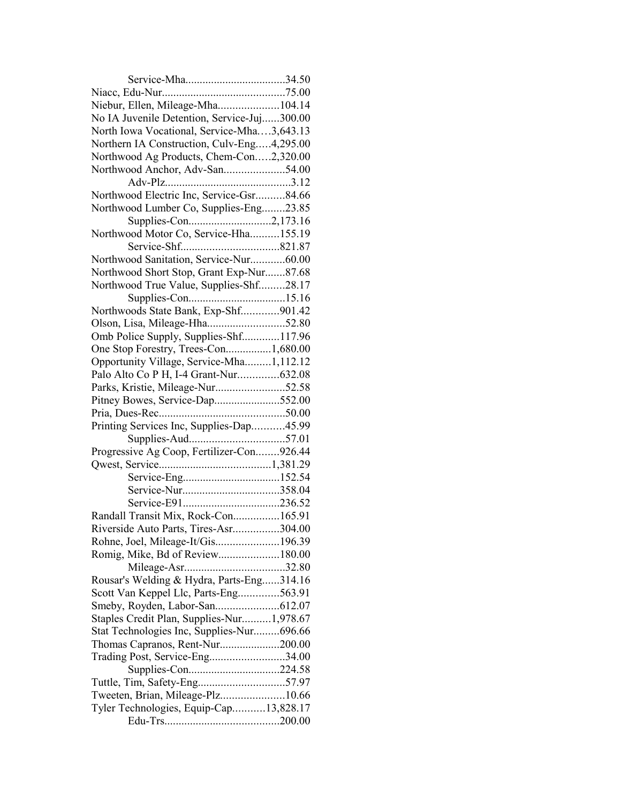| Niebur, Ellen, Mileage-Mha104.14            |  |
|---------------------------------------------|--|
| No IA Juvenile Detention, Service-Juj300.00 |  |
| North Iowa Vocational, Service-Mha3,643.13  |  |
| Northern IA Construction, Culv-Eng4,295.00  |  |
| Northwood Ag Products, Chem-Con2,320.00     |  |
| Northwood Anchor, Adv-San54.00              |  |
|                                             |  |
| Northwood Electric Inc, Service-Gsr84.66    |  |
| Northwood Lumber Co, Supplies-Eng23.85      |  |
|                                             |  |
| Northwood Motor Co, Service-Hha155.19       |  |
|                                             |  |
| Northwood Sanitation, Service-Nur60.00      |  |
| Northwood Short Stop, Grant Exp-Nur87.68    |  |
| Northwood True Value, Supplies-Shf28.17     |  |
|                                             |  |
| Northwoods State Bank, Exp-Shf901.42        |  |
| Olson, Lisa, Mileage-Hha52.80               |  |
| Omb Police Supply, Supplies-Shf117.96       |  |
| One Stop Forestry, Trees-Con1,680.00        |  |
| Opportunity Village, Service-Mha1,112.12    |  |
| Palo Alto Co P H, I-4 Grant-Nur632.08       |  |
| Parks, Kristie, Mileage-Nur52.58            |  |
|                                             |  |
| Pitney Bowes, Service-Dap552.00             |  |
| Printing Services Inc, Supplies-Dap45.99    |  |
|                                             |  |
|                                             |  |
| Progressive Ag Coop, Fertilizer-Con926.44   |  |
|                                             |  |
|                                             |  |
| Service-Nur358.04                           |  |
|                                             |  |
| Randall Transit Mix, Rock-Con165.91         |  |
| Riverside Auto Parts, Tires-Asr304.00       |  |
| Rohne, Joel, Mileage-It/Gis196.39           |  |
| Romig, Mike, Bd of Review180.00             |  |
|                                             |  |
| Rousar's Welding & Hydra, Parts-Eng314.16   |  |
| Scott Van Keppel Llc, Parts-Eng563.91       |  |
|                                             |  |
| Staples Credit Plan, Supplies-Nur1,978.67   |  |
| Stat Technologies Inc, Supplies-Nur696.66   |  |
| Thomas Capranos, Rent-Nur200.00             |  |
| Trading Post, Service-Eng34.00              |  |
| Supplies-Con224.58                          |  |
|                                             |  |
| Tweeten, Brian, Mileage-Plz10.66            |  |
| Tyler Technologies, Equip-Cap13,828.17      |  |
|                                             |  |